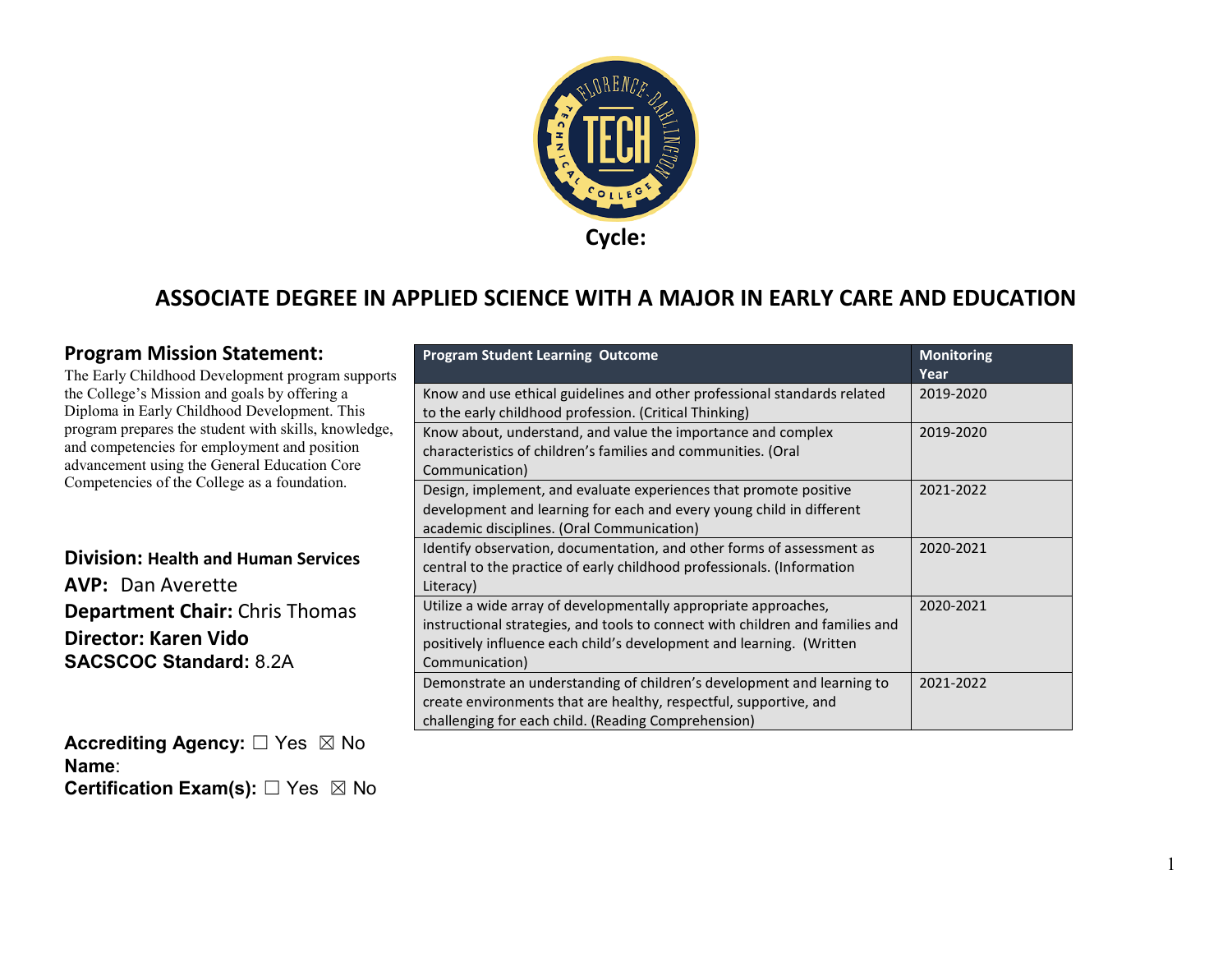

#### **ASSOCIATE DEGREE IN APPLIED SCIENCE WITH A MAJOR IN EARLY CARE AND EDUCATION**

#### **Program Mission Statement:**

The Early Childhood Development program supports the College's Mission and goals by offering a Diploma in Early Childhood Development. This program prepares the student with skills, knowledge, and competencies for employment and position advancement using the General Education Core Competencies of the College as a foundation.

#### **Division: Health and Human Services AVP:** Dan Averette **Department Chair:** Chris Thomas **Director: Karen Vido SACSCOC Standard:** 8.2A

**Accrediting Agency:** ☐ Yes ☒ No **Name**: **Certification Exam(s):** □ Yes ⊠ No

| Ś | <b>Program Student Learning Outcome</b>                                                                                                                                                                                                    | <b>Monitoring</b><br>Year |
|---|--------------------------------------------------------------------------------------------------------------------------------------------------------------------------------------------------------------------------------------------|---------------------------|
|   | Know and use ethical guidelines and other professional standards related<br>to the early childhood profession. (Critical Thinking)                                                                                                         | 2019-2020                 |
|   | Know about, understand, and value the importance and complex<br>characteristics of children's families and communities. (Oral<br>Communication)                                                                                            | 2019-2020                 |
|   | Design, implement, and evaluate experiences that promote positive<br>development and learning for each and every young child in different<br>academic disciplines. (Oral Communication)                                                    | 2021-2022                 |
|   | Identify observation, documentation, and other forms of assessment as<br>central to the practice of early childhood professionals. (Information<br>Literacy)                                                                               | 2020-2021                 |
|   | Utilize a wide array of developmentally appropriate approaches,<br>instructional strategies, and tools to connect with children and families and<br>positively influence each child's development and learning. (Written<br>Communication) | 2020-2021                 |
|   | Demonstrate an understanding of children's development and learning to<br>create environments that are healthy, respectful, supportive, and<br>challenging for each child. (Reading Comprehension)                                         | 2021-2022                 |

1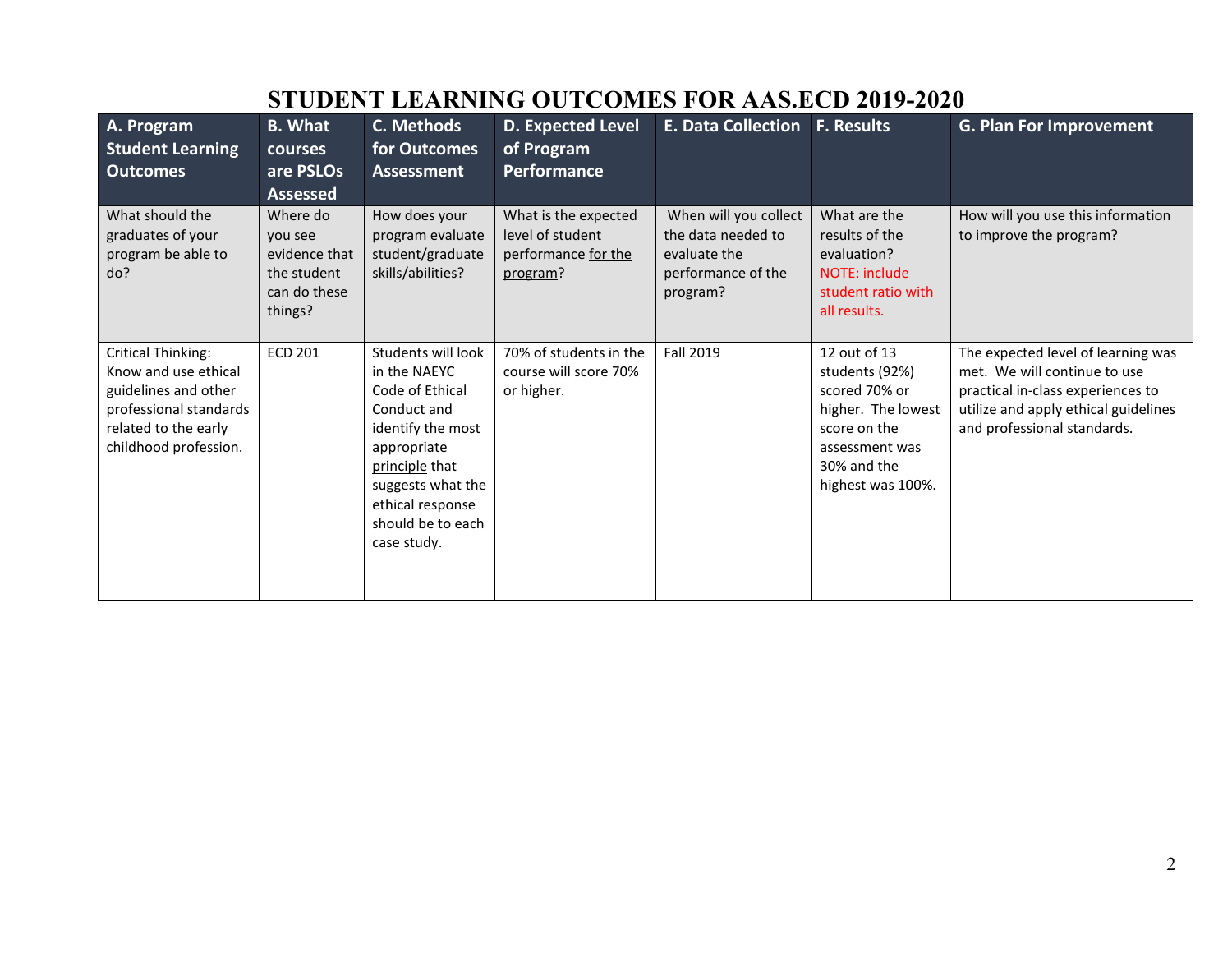| A. Program<br><b>Student Learning</b>                                                                                                                | <b>B. What</b><br><b>courses</b>                                               | C. Methods<br>for Outcomes                                                                                                                                                                              | <b>D. Expected Level</b><br>of Program                                      | <b>E. Data Collection</b>                                                                     | <b>F. Results</b>                                                                                                                           | <b>G. Plan For Improvement</b>                                                                                                                                                 |  |  |
|------------------------------------------------------------------------------------------------------------------------------------------------------|--------------------------------------------------------------------------------|---------------------------------------------------------------------------------------------------------------------------------------------------------------------------------------------------------|-----------------------------------------------------------------------------|-----------------------------------------------------------------------------------------------|---------------------------------------------------------------------------------------------------------------------------------------------|--------------------------------------------------------------------------------------------------------------------------------------------------------------------------------|--|--|
| <b>Outcomes</b>                                                                                                                                      | are PSLOs<br><b>Assessed</b>                                                   | <b>Assessment</b>                                                                                                                                                                                       | Performance                                                                 |                                                                                               |                                                                                                                                             |                                                                                                                                                                                |  |  |
| What should the<br>graduates of your<br>program be able to<br>do?                                                                                    | Where do<br>you see<br>evidence that<br>the student<br>can do these<br>things? | How does your<br>program evaluate<br>student/graduate<br>skills/abilities?                                                                                                                              | What is the expected<br>level of student<br>performance for the<br>program? | When will you collect<br>the data needed to<br>evaluate the<br>performance of the<br>program? | What are the<br>results of the<br>evaluation?<br>NOTE: include<br>student ratio with<br>all results.                                        | How will you use this information<br>to improve the program?                                                                                                                   |  |  |
| <b>Critical Thinking:</b><br>Know and use ethical<br>guidelines and other<br>professional standards<br>related to the early<br>childhood profession. | <b>ECD 201</b>                                                                 | Students will look<br>in the NAEYC<br>Code of Ethical<br>Conduct and<br>identify the most<br>appropriate<br>principle that<br>suggests what the<br>ethical response<br>should be to each<br>case study. | 70% of students in the<br>course will score 70%<br>or higher.               | Fall 2019                                                                                     | 12 out of 13<br>students (92%)<br>scored 70% or<br>higher. The lowest<br>score on the<br>assessment was<br>30% and the<br>highest was 100%. | The expected level of learning was<br>met. We will continue to use<br>practical in-class experiences to<br>utilize and apply ethical guidelines<br>and professional standards. |  |  |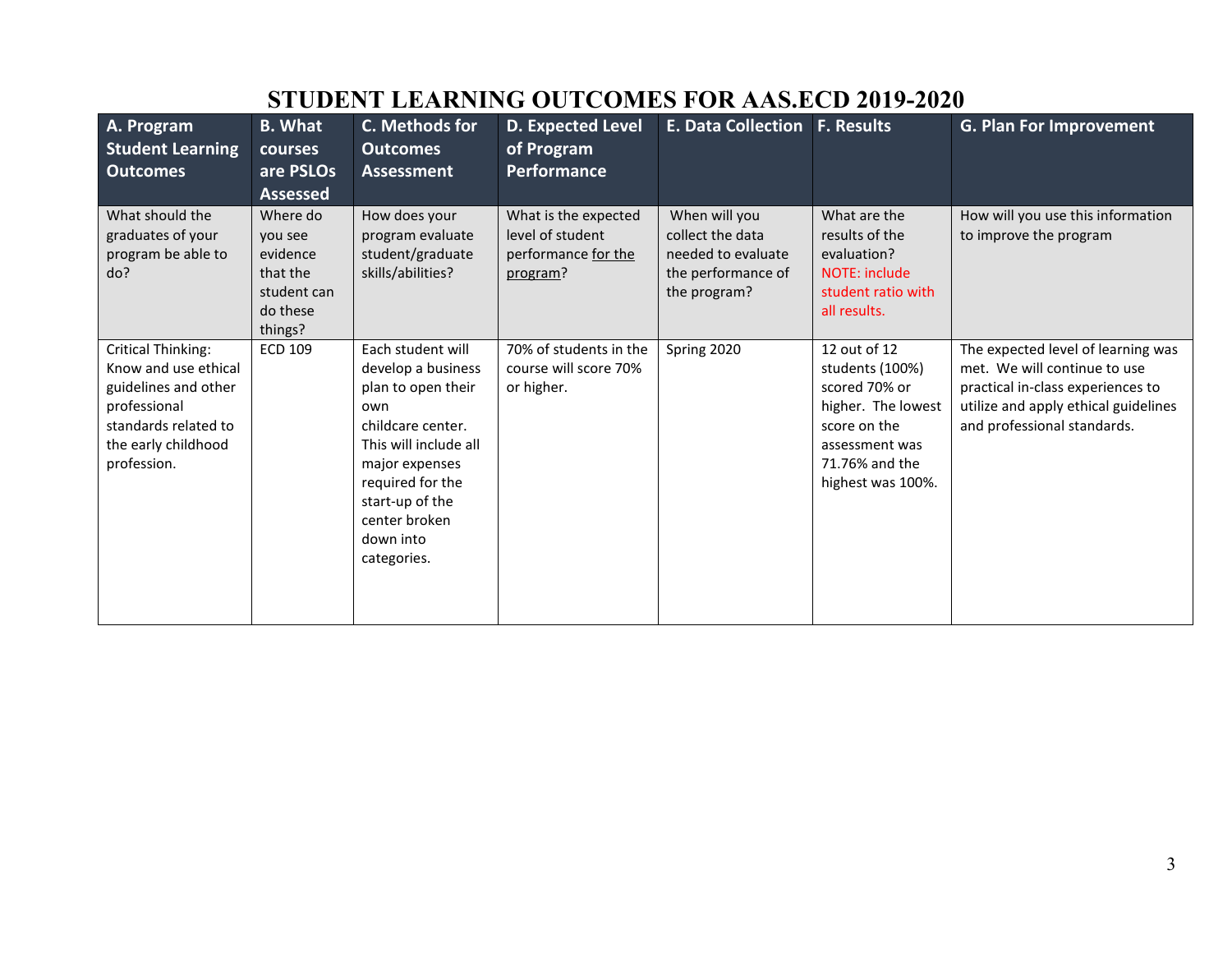| A. Program<br><b>Student Learning</b><br><b>Outcomes</b>                                                                                                | <b>B. What</b><br>courses<br>are PSLOs<br><b>Assessed</b>                         | C. Methods for<br><b>Outcomes</b><br><b>Assessment</b>                                                                                                                                                                   | D. Expected Level<br>of Program<br><b>Performance</b>                       | <b>E. Data Collection F. Results</b>                                                          |                                                                                                                                                 | <b>G. Plan For Improvement</b>                                                                                                                                                 |
|---------------------------------------------------------------------------------------------------------------------------------------------------------|-----------------------------------------------------------------------------------|--------------------------------------------------------------------------------------------------------------------------------------------------------------------------------------------------------------------------|-----------------------------------------------------------------------------|-----------------------------------------------------------------------------------------------|-------------------------------------------------------------------------------------------------------------------------------------------------|--------------------------------------------------------------------------------------------------------------------------------------------------------------------------------|
| What should the<br>graduates of your<br>program be able to<br>do?                                                                                       | Where do<br>you see<br>evidence<br>that the<br>student can<br>do these<br>things? | How does your<br>program evaluate<br>student/graduate<br>skills/abilities?                                                                                                                                               | What is the expected<br>level of student<br>performance for the<br>program? | When will you<br>collect the data<br>needed to evaluate<br>the performance of<br>the program? | What are the<br>results of the<br>evaluation?<br>NOTE: include<br>student ratio with<br>all results.                                            | How will you use this information<br>to improve the program                                                                                                                    |
| <b>Critical Thinking:</b><br>Know and use ethical<br>guidelines and other<br>professional<br>standards related to<br>the early childhood<br>profession. | <b>ECD 109</b>                                                                    | Each student will<br>develop a business<br>plan to open their<br>own<br>childcare center.<br>This will include all<br>major expenses<br>required for the<br>start-up of the<br>center broken<br>down into<br>categories. | 70% of students in the<br>course will score 70%<br>or higher.               | Spring 2020                                                                                   | 12 out of 12<br>students (100%)<br>scored 70% or<br>higher. The lowest<br>score on the<br>assessment was<br>71.76% and the<br>highest was 100%. | The expected level of learning was<br>met. We will continue to use<br>practical in-class experiences to<br>utilize and apply ethical guidelines<br>and professional standards. |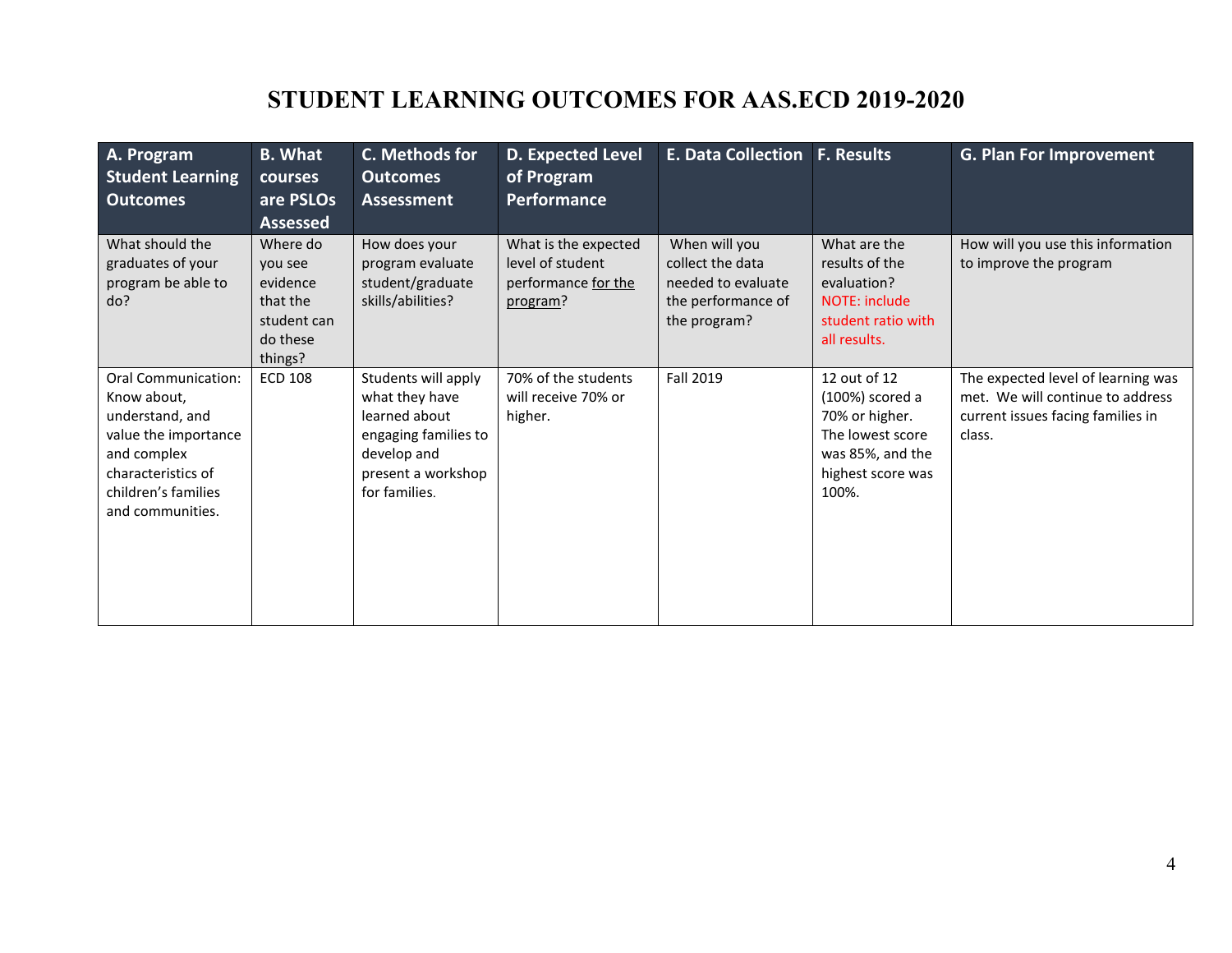| A. Program<br><b>Student Learning</b><br><b>Outcomes</b>                                                                                                             | <b>B.</b> What<br>courses<br>are PSLOs<br><b>Assessed</b>                         | C. Methods for<br><b>Outcomes</b><br>Assessment                                                                                      | <b>D. Expected Level</b><br>of Program<br><b>Performance</b>                | <b>E. Data Collection F. Results</b>                                                          |                                                                                                                         | <b>G. Plan For Improvement</b>                                                                                        |
|----------------------------------------------------------------------------------------------------------------------------------------------------------------------|-----------------------------------------------------------------------------------|--------------------------------------------------------------------------------------------------------------------------------------|-----------------------------------------------------------------------------|-----------------------------------------------------------------------------------------------|-------------------------------------------------------------------------------------------------------------------------|-----------------------------------------------------------------------------------------------------------------------|
| What should the<br>graduates of your<br>program be able to<br>do?                                                                                                    | Where do<br>you see<br>evidence<br>that the<br>student can<br>do these<br>things? | How does your<br>program evaluate<br>student/graduate<br>skills/abilities?                                                           | What is the expected<br>level of student<br>performance for the<br>program? | When will you<br>collect the data<br>needed to evaluate<br>the performance of<br>the program? | What are the<br>results of the<br>evaluation?<br>NOTE: include<br>student ratio with<br>all results.                    | How will you use this information<br>to improve the program                                                           |
| <b>Oral Communication:</b><br>Know about,<br>understand, and<br>value the importance<br>and complex<br>characteristics of<br>children's families<br>and communities. | <b>ECD 108</b>                                                                    | Students will apply<br>what they have<br>learned about<br>engaging families to<br>develop and<br>present a workshop<br>for families. | 70% of the students<br>will receive 70% or<br>higher.                       | Fall 2019                                                                                     | 12 out of 12<br>(100%) scored a<br>70% or higher.<br>The lowest score<br>was 85%, and the<br>highest score was<br>100%. | The expected level of learning was<br>met. We will continue to address<br>current issues facing families in<br>class. |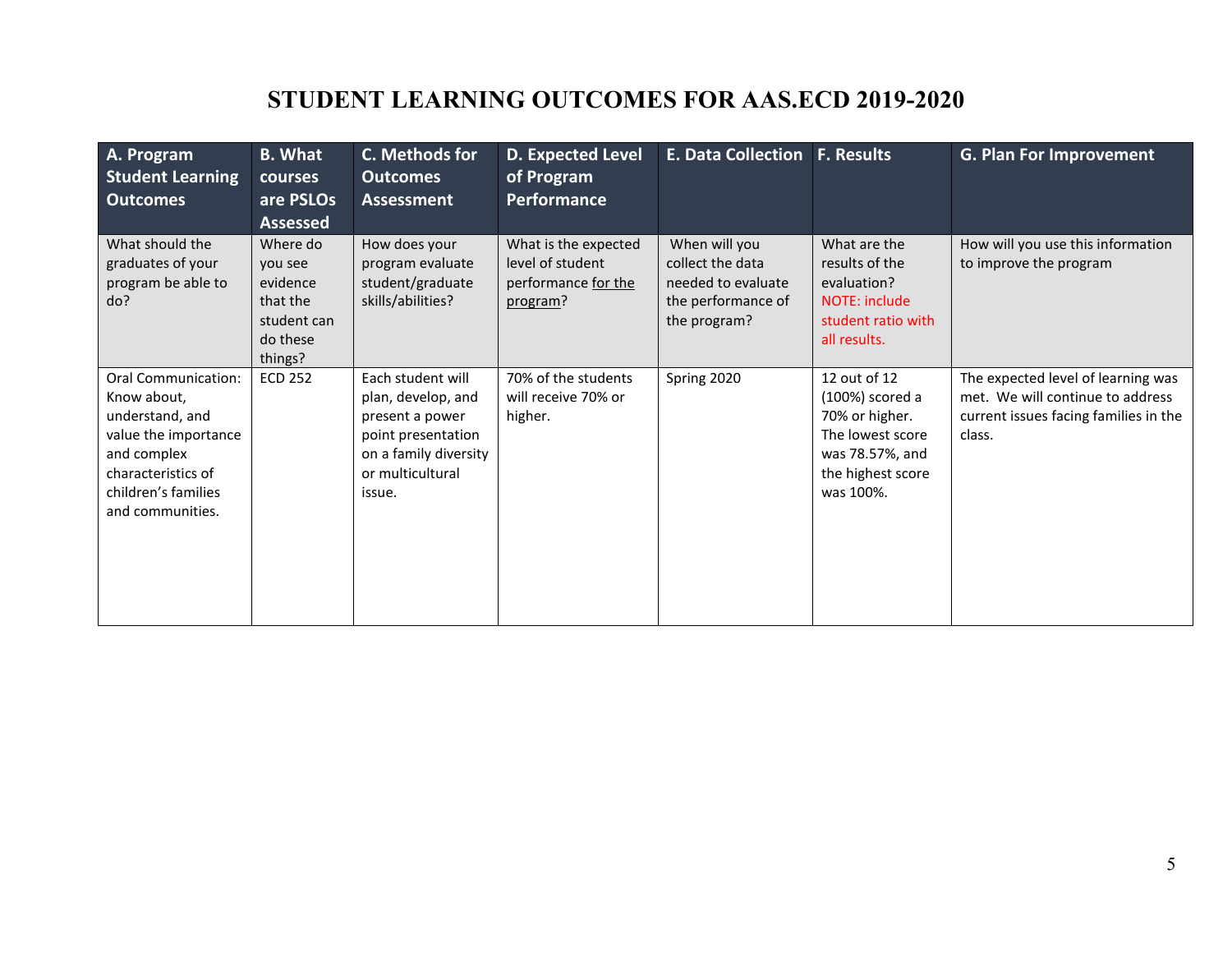| A. Program<br><b>Student Learning</b><br><b>Outcomes</b>                                                                                                             | <b>B. What</b><br>courses<br>are PSLOs<br><b>Assessed</b>                         | C. Methods for<br><b>Outcomes</b><br><b>Assessment</b>                                                                                  | <b>D. Expected Level</b><br>of Program<br><b>Performance</b>                | <b>E. Data Collection F. Results</b>                                                          |                                                                                                                            | <b>G. Plan For Improvement</b>                                                                                            |
|----------------------------------------------------------------------------------------------------------------------------------------------------------------------|-----------------------------------------------------------------------------------|-----------------------------------------------------------------------------------------------------------------------------------------|-----------------------------------------------------------------------------|-----------------------------------------------------------------------------------------------|----------------------------------------------------------------------------------------------------------------------------|---------------------------------------------------------------------------------------------------------------------------|
| What should the<br>graduates of your<br>program be able to<br>do?                                                                                                    | Where do<br>vou see<br>evidence<br>that the<br>student can<br>do these<br>things? | How does your<br>program evaluate<br>student/graduate<br>skills/abilities?                                                              | What is the expected<br>level of student<br>performance for the<br>program? | When will you<br>collect the data<br>needed to evaluate<br>the performance of<br>the program? | What are the<br>results of the<br>evaluation?<br><b>NOTE: include</b><br>student ratio with<br>all results.                | How will you use this information<br>to improve the program                                                               |
| <b>Oral Communication:</b><br>Know about,<br>understand, and<br>value the importance<br>and complex<br>characteristics of<br>children's families<br>and communities. | <b>ECD 252</b>                                                                    | Each student will<br>plan, develop, and<br>present a power<br>point presentation<br>on a family diversity<br>or multicultural<br>issue. | 70% of the students<br>will receive 70% or<br>higher.                       | Spring 2020                                                                                   | 12 out of 12<br>(100%) scored a<br>70% or higher.<br>The lowest score<br>was 78.57%, and<br>the highest score<br>was 100%. | The expected level of learning was<br>met. We will continue to address<br>current issues facing families in the<br>class. |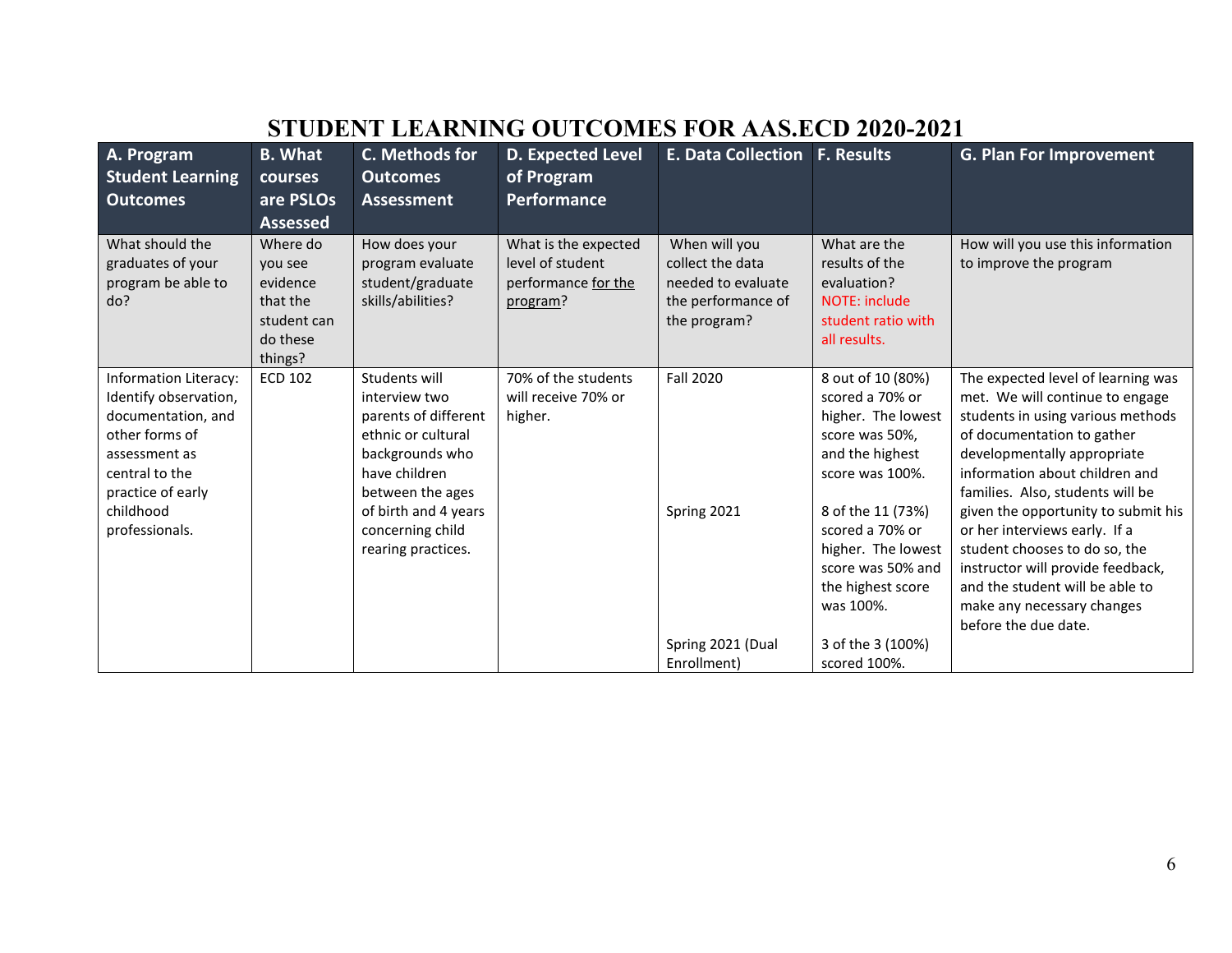| A. Program<br><b>Student Learning</b>                                                                                                                                         | <b>B.</b> What<br>courses                                                         | C. Methods for<br><b>Outcomes</b>                                                                                                                                                                      | <b>D. Expected Level</b><br>of Program                                      | <b>E. Data Collection F. Results</b>                                                          |                                                                                                                                                                                                                                         | <b>G. Plan For Improvement</b>                                                                                                                                                                                                                                                                                                                                                                                                                                                       |
|-------------------------------------------------------------------------------------------------------------------------------------------------------------------------------|-----------------------------------------------------------------------------------|--------------------------------------------------------------------------------------------------------------------------------------------------------------------------------------------------------|-----------------------------------------------------------------------------|-----------------------------------------------------------------------------------------------|-----------------------------------------------------------------------------------------------------------------------------------------------------------------------------------------------------------------------------------------|--------------------------------------------------------------------------------------------------------------------------------------------------------------------------------------------------------------------------------------------------------------------------------------------------------------------------------------------------------------------------------------------------------------------------------------------------------------------------------------|
| Outcomes                                                                                                                                                                      | are PSLOs                                                                         | <b>Assessment</b>                                                                                                                                                                                      | Performance                                                                 |                                                                                               |                                                                                                                                                                                                                                         |                                                                                                                                                                                                                                                                                                                                                                                                                                                                                      |
|                                                                                                                                                                               | <b>Assessed</b>                                                                   |                                                                                                                                                                                                        |                                                                             |                                                                                               |                                                                                                                                                                                                                                         |                                                                                                                                                                                                                                                                                                                                                                                                                                                                                      |
| What should the<br>graduates of your<br>program be able to<br>do?                                                                                                             | Where do<br>vou see<br>evidence<br>that the<br>student can<br>do these<br>things? | How does your<br>program evaluate<br>student/graduate<br>skills/abilities?                                                                                                                             | What is the expected<br>level of student<br>performance for the<br>program? | When will you<br>collect the data<br>needed to evaluate<br>the performance of<br>the program? | What are the<br>results of the<br>evaluation?<br><b>NOTE: include</b><br>student ratio with<br>all results.                                                                                                                             | How will you use this information<br>to improve the program                                                                                                                                                                                                                                                                                                                                                                                                                          |
| Information Literacy:<br>Identify observation,<br>documentation, and<br>other forms of<br>assessment as<br>central to the<br>practice of early<br>childhood<br>professionals. | <b>ECD 102</b>                                                                    | Students will<br>interview two<br>parents of different<br>ethnic or cultural<br>backgrounds who<br>have children<br>between the ages<br>of birth and 4 years<br>concerning child<br>rearing practices. | 70% of the students<br>will receive 70% or<br>higher.                       | <b>Fall 2020</b><br>Spring 2021                                                               | 8 out of 10 (80%)<br>scored a 70% or<br>higher. The lowest<br>score was 50%,<br>and the highest<br>score was 100%.<br>8 of the 11 (73%)<br>scored a 70% or<br>higher. The lowest<br>score was 50% and<br>the highest score<br>was 100%. | The expected level of learning was<br>met. We will continue to engage<br>students in using various methods<br>of documentation to gather<br>developmentally appropriate<br>information about children and<br>families. Also, students will be<br>given the opportunity to submit his<br>or her interviews early. If a<br>student chooses to do so, the<br>instructor will provide feedback,<br>and the student will be able to<br>make any necessary changes<br>before the due date. |
|                                                                                                                                                                               |                                                                                   |                                                                                                                                                                                                        |                                                                             | Spring 2021 (Dual<br>Enrollment)                                                              | 3 of the 3 (100%)<br>scored 100%.                                                                                                                                                                                                       |                                                                                                                                                                                                                                                                                                                                                                                                                                                                                      |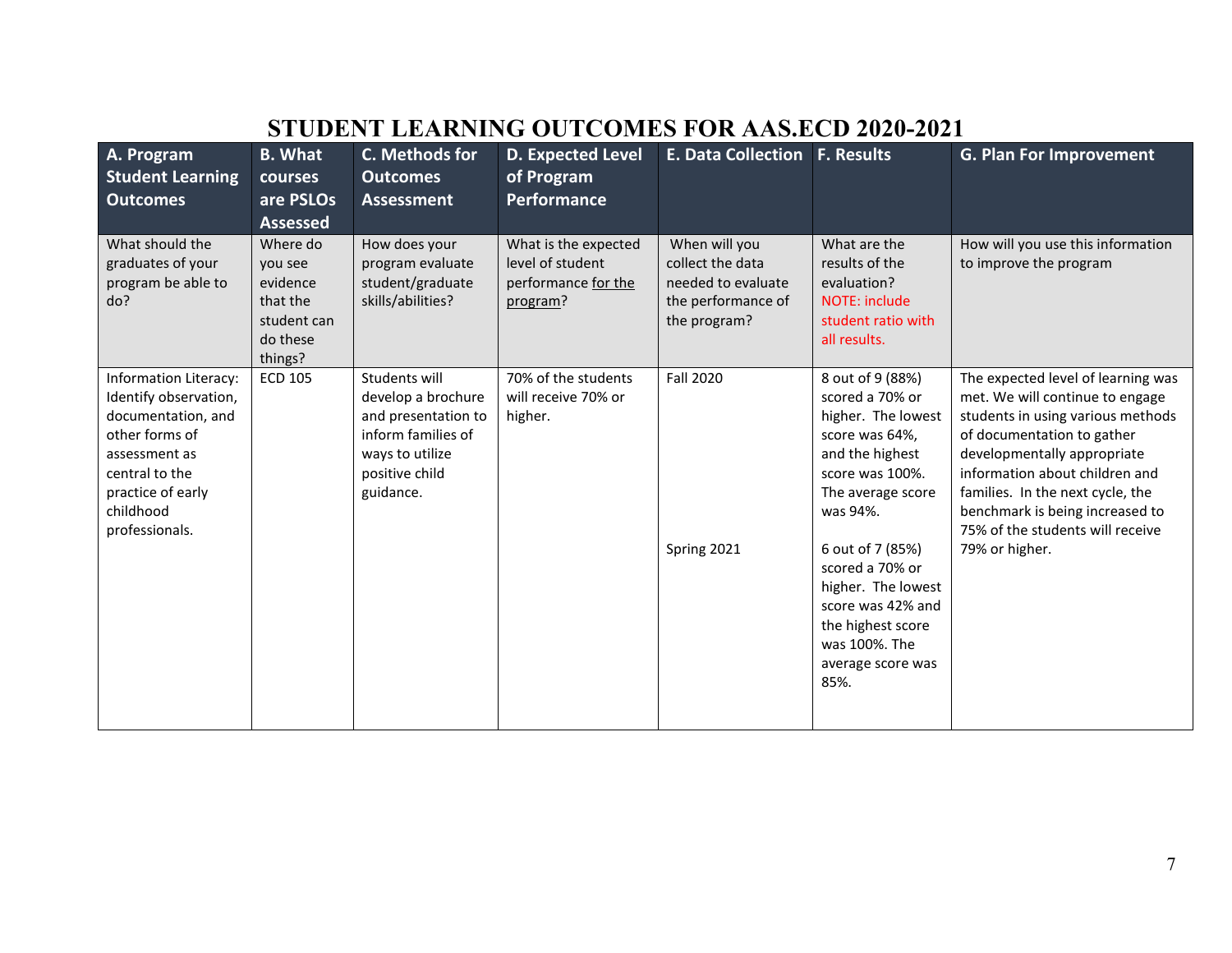| A. Program<br><b>Student Learning</b><br><b>Outcomes</b>                                                                                                                             | <b>B.</b> What<br>courses<br>are PSLOs<br><b>Assessed</b>                         | C. Methods for<br><b>Outcomes</b><br><b>Assessment</b>                                                                             | <b>D. Expected Level</b><br>of Program<br><b>Performance</b>                | E. Data Collection   F. Results                                                               |                                                                                                                                                                                                                                                                                                         | <b>G. Plan For Improvement</b>                                                                                                                                                                                                                                                                                                         |
|--------------------------------------------------------------------------------------------------------------------------------------------------------------------------------------|-----------------------------------------------------------------------------------|------------------------------------------------------------------------------------------------------------------------------------|-----------------------------------------------------------------------------|-----------------------------------------------------------------------------------------------|---------------------------------------------------------------------------------------------------------------------------------------------------------------------------------------------------------------------------------------------------------------------------------------------------------|----------------------------------------------------------------------------------------------------------------------------------------------------------------------------------------------------------------------------------------------------------------------------------------------------------------------------------------|
| What should the<br>graduates of your<br>program be able to<br>do?                                                                                                                    | Where do<br>you see<br>evidence<br>that the<br>student can<br>do these<br>things? | How does your<br>program evaluate<br>student/graduate<br>skills/abilities?                                                         | What is the expected<br>level of student<br>performance for the<br>program? | When will you<br>collect the data<br>needed to evaluate<br>the performance of<br>the program? | What are the<br>results of the<br>evaluation?<br><b>NOTE: include</b><br>student ratio with<br>all results.                                                                                                                                                                                             | How will you use this information<br>to improve the program                                                                                                                                                                                                                                                                            |
| <b>Information Literacy:</b><br>Identify observation,<br>documentation, and<br>other forms of<br>assessment as<br>central to the<br>practice of early<br>childhood<br>professionals. | <b>ECD 105</b>                                                                    | Students will<br>develop a brochure<br>and presentation to<br>inform families of<br>ways to utilize<br>positive child<br>guidance. | 70% of the students<br>will receive 70% or<br>higher.                       | <b>Fall 2020</b><br>Spring 2021                                                               | 8 out of 9 (88%)<br>scored a 70% or<br>higher. The lowest<br>score was 64%,<br>and the highest<br>score was 100%.<br>The average score<br>was 94%.<br>6 out of 7 (85%)<br>scored a 70% or<br>higher. The lowest<br>score was 42% and<br>the highest score<br>was 100%. The<br>average score was<br>85%. | The expected level of learning was<br>met. We will continue to engage<br>students in using various methods<br>of documentation to gather<br>developmentally appropriate<br>information about children and<br>families. In the next cycle, the<br>benchmark is being increased to<br>75% of the students will receive<br>79% or higher. |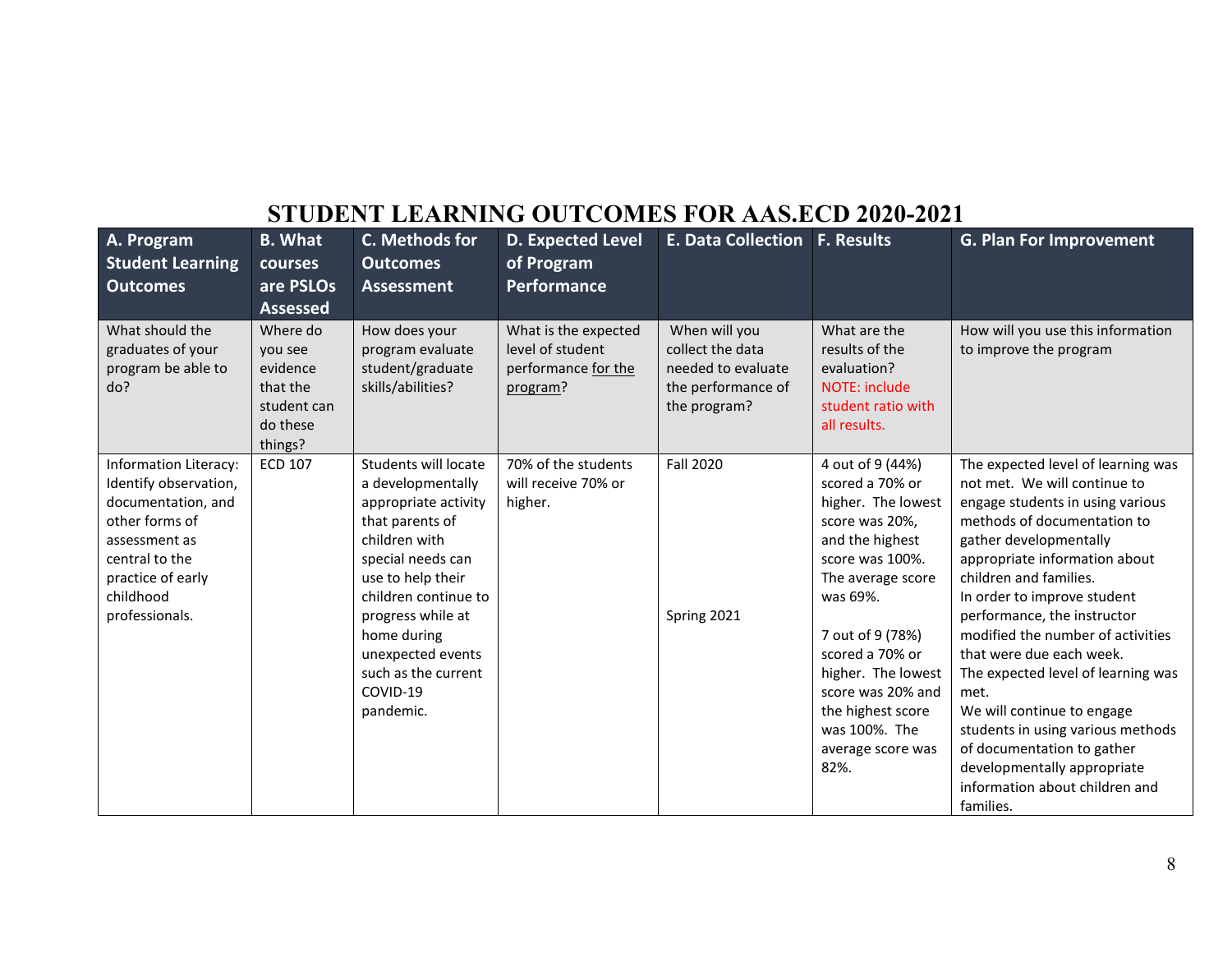| A. Program<br><b>Student Learning</b><br><b>Outcomes</b>                                                                                                                      | <b>B.</b> What<br><b>courses</b><br>are PSLOs<br><b>Assessed</b>                  | C. Methods for<br><b>Outcomes</b><br><b>Assessment</b>                                                                                                                                                                                                                           | <b>D. Expected Level</b><br>of Program<br><b>Performance</b>                | <b>E. Data Collection F. Results</b>                                                          |                                                                                                                                                                                                                                                                                                         | <b>G. Plan For Improvement</b>                                                                                                                                                                                                                                                                                                                                                                                                                                                                                                                                                         |
|-------------------------------------------------------------------------------------------------------------------------------------------------------------------------------|-----------------------------------------------------------------------------------|----------------------------------------------------------------------------------------------------------------------------------------------------------------------------------------------------------------------------------------------------------------------------------|-----------------------------------------------------------------------------|-----------------------------------------------------------------------------------------------|---------------------------------------------------------------------------------------------------------------------------------------------------------------------------------------------------------------------------------------------------------------------------------------------------------|----------------------------------------------------------------------------------------------------------------------------------------------------------------------------------------------------------------------------------------------------------------------------------------------------------------------------------------------------------------------------------------------------------------------------------------------------------------------------------------------------------------------------------------------------------------------------------------|
| What should the<br>graduates of your<br>program be able to<br>do?                                                                                                             | Where do<br>you see<br>evidence<br>that the<br>student can<br>do these<br>things? | How does your<br>program evaluate<br>student/graduate<br>skills/abilities?                                                                                                                                                                                                       | What is the expected<br>level of student<br>performance for the<br>program? | When will you<br>collect the data<br>needed to evaluate<br>the performance of<br>the program? | What are the<br>results of the<br>evaluation?<br><b>NOTE: include</b><br>student ratio with<br>all results.                                                                                                                                                                                             | How will you use this information<br>to improve the program                                                                                                                                                                                                                                                                                                                                                                                                                                                                                                                            |
| Information Literacy:<br>Identify observation,<br>documentation, and<br>other forms of<br>assessment as<br>central to the<br>practice of early<br>childhood<br>professionals. | <b>ECD 107</b>                                                                    | Students will locate<br>a developmentally<br>appropriate activity<br>that parents of<br>children with<br>special needs can<br>use to help their<br>children continue to<br>progress while at<br>home during<br>unexpected events<br>such as the current<br>COVID-19<br>pandemic. | 70% of the students<br>will receive 70% or<br>higher.                       | <b>Fall 2020</b><br>Spring 2021                                                               | 4 out of 9 (44%)<br>scored a 70% or<br>higher. The lowest<br>score was 20%,<br>and the highest<br>score was 100%.<br>The average score<br>was 69%.<br>7 out of 9 (78%)<br>scored a 70% or<br>higher. The lowest<br>score was 20% and<br>the highest score<br>was 100%. The<br>average score was<br>82%. | The expected level of learning was<br>not met. We will continue to<br>engage students in using various<br>methods of documentation to<br>gather developmentally<br>appropriate information about<br>children and families.<br>In order to improve student<br>performance, the instructor<br>modified the number of activities<br>that were due each week.<br>The expected level of learning was<br>met.<br>We will continue to engage<br>students in using various methods<br>of documentation to gather<br>developmentally appropriate<br>information about children and<br>families. |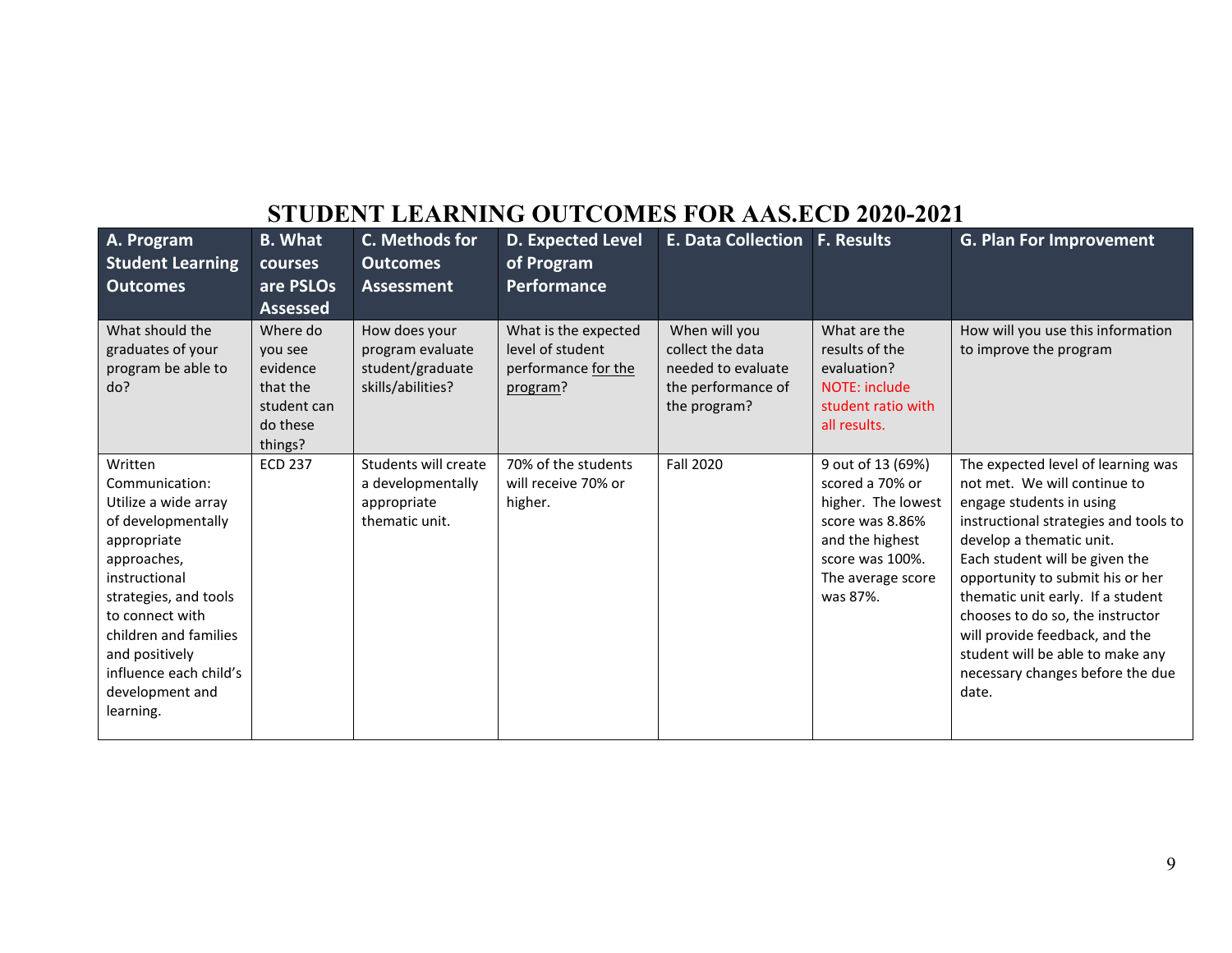| A. Program<br><b>Student Learning</b><br><b>Outcomes</b>                                                                                                                                                                                                                | <b>B.</b> What<br>courses<br>are PSLOs<br><b>Assessed</b>                         | C. Methods for<br><b>Outcomes</b><br><b>Assessment</b>                     | <b>D. Expected Level</b><br>of Program<br><b>Performance</b>                | <b>E. Data Collection</b>                                                                     | <b>F. Results</b>                                                                                                                                    | <b>G. Plan For Improvement</b>                                                                                                                                                                                                                                                                                                                                                                                                        |
|-------------------------------------------------------------------------------------------------------------------------------------------------------------------------------------------------------------------------------------------------------------------------|-----------------------------------------------------------------------------------|----------------------------------------------------------------------------|-----------------------------------------------------------------------------|-----------------------------------------------------------------------------------------------|------------------------------------------------------------------------------------------------------------------------------------------------------|---------------------------------------------------------------------------------------------------------------------------------------------------------------------------------------------------------------------------------------------------------------------------------------------------------------------------------------------------------------------------------------------------------------------------------------|
| What should the<br>graduates of your<br>program be able to<br>do?                                                                                                                                                                                                       | Where do<br>you see<br>evidence<br>that the<br>student can<br>do these<br>things? | How does your<br>program evaluate<br>student/graduate<br>skills/abilities? | What is the expected<br>level of student<br>performance for the<br>program? | When will you<br>collect the data<br>needed to evaluate<br>the performance of<br>the program? | What are the<br>results of the<br>evaluation?<br>NOTE: include<br>student ratio with<br>all results.                                                 | How will you use this information<br>to improve the program                                                                                                                                                                                                                                                                                                                                                                           |
| Written<br>Communication:<br>Utilize a wide array<br>of developmentally<br>appropriate<br>approaches,<br>instructional<br>strategies, and tools<br>to connect with<br>children and families<br>and positively<br>influence each child's<br>development and<br>learning. | <b>ECD 237</b>                                                                    | Students will create<br>a developmentally<br>appropriate<br>thematic unit. | 70% of the students<br>will receive 70% or<br>higher.                       | <b>Fall 2020</b>                                                                              | 9 out of 13 (69%)<br>scored a 70% or<br>higher. The lowest<br>score was 8.86%<br>and the highest<br>score was 100%.<br>The average score<br>was 87%. | The expected level of learning was<br>not met. We will continue to<br>engage students in using<br>instructional strategies and tools to<br>develop a thematic unit.<br>Each student will be given the<br>opportunity to submit his or her<br>thematic unit early. If a student<br>chooses to do so, the instructor<br>will provide feedback, and the<br>student will be able to make any<br>necessary changes before the due<br>date. |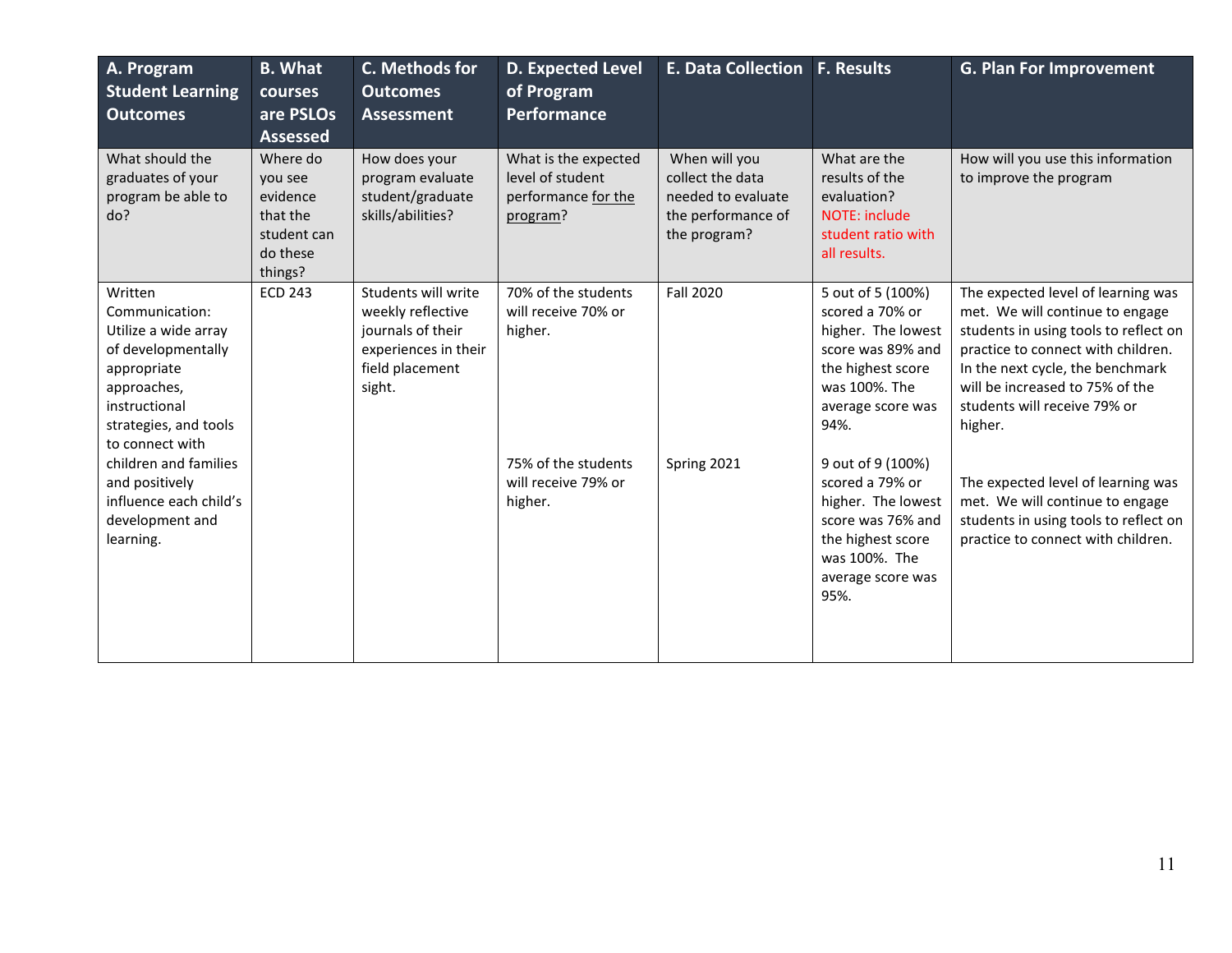| A. Program<br><b>Student Learning</b><br><b>Outcomes</b>                                                                                                           | <b>B.</b> What<br>courses<br>are PSLOs<br><b>Assessed</b>                         | C. Methods for<br><b>Outcomes</b><br><b>Assessment</b>                                                             | <b>D. Expected Level</b><br>of Program<br>Performance                       | E. Data Collection F. Results                                                                 |                                                                                                                                                    | <b>G. Plan For Improvement</b>                                                                                                                                                                                                                                         |
|--------------------------------------------------------------------------------------------------------------------------------------------------------------------|-----------------------------------------------------------------------------------|--------------------------------------------------------------------------------------------------------------------|-----------------------------------------------------------------------------|-----------------------------------------------------------------------------------------------|----------------------------------------------------------------------------------------------------------------------------------------------------|------------------------------------------------------------------------------------------------------------------------------------------------------------------------------------------------------------------------------------------------------------------------|
| What should the<br>graduates of your<br>program be able to<br>do?                                                                                                  | Where do<br>you see<br>evidence<br>that the<br>student can<br>do these<br>things? | How does your<br>program evaluate<br>student/graduate<br>skills/abilities?                                         | What is the expected<br>level of student<br>performance for the<br>program? | When will you<br>collect the data<br>needed to evaluate<br>the performance of<br>the program? | What are the<br>results of the<br>evaluation?<br>NOTE: include<br>student ratio with<br>all results.                                               | How will you use this information<br>to improve the program                                                                                                                                                                                                            |
| Written<br>Communication:<br>Utilize a wide array<br>of developmentally<br>appropriate<br>approaches,<br>instructional<br>strategies, and tools<br>to connect with | <b>ECD 243</b>                                                                    | Students will write<br>weekly reflective<br>journals of their<br>experiences in their<br>field placement<br>sight. | 70% of the students<br>will receive 70% or<br>higher.                       | <b>Fall 2020</b>                                                                              | 5 out of 5 (100%)<br>scored a 70% or<br>higher. The lowest<br>score was 89% and<br>the highest score<br>was 100%. The<br>average score was<br>94%. | The expected level of learning was<br>met. We will continue to engage<br>students in using tools to reflect on<br>practice to connect with children.<br>In the next cycle, the benchmark<br>will be increased to 75% of the<br>students will receive 79% or<br>higher. |
| children and families<br>and positively<br>influence each child's<br>development and<br>learning.                                                                  |                                                                                   |                                                                                                                    | 75% of the students<br>will receive 79% or<br>higher.                       | Spring 2021                                                                                   | 9 out of 9 (100%)<br>scored a 79% or<br>higher. The lowest<br>score was 76% and<br>the highest score<br>was 100%. The<br>average score was<br>95%. | The expected level of learning was<br>met. We will continue to engage<br>students in using tools to reflect on<br>practice to connect with children.                                                                                                                   |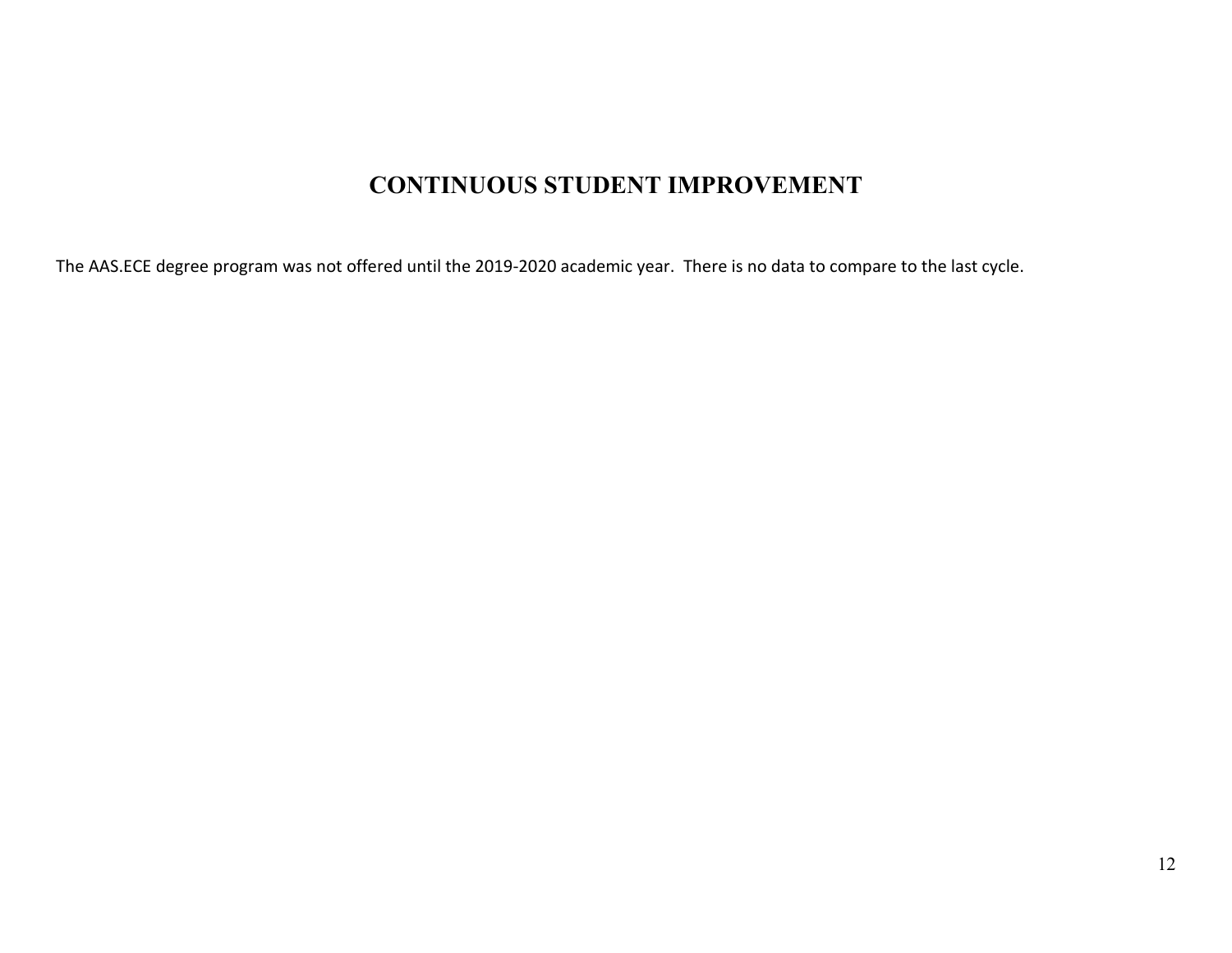#### **CONTINUOUS STUDENT IMPROVEMENT**

The AAS.ECE degree program was not offered until the 2019-2020 academic year. There is no data to compare to the last cycle.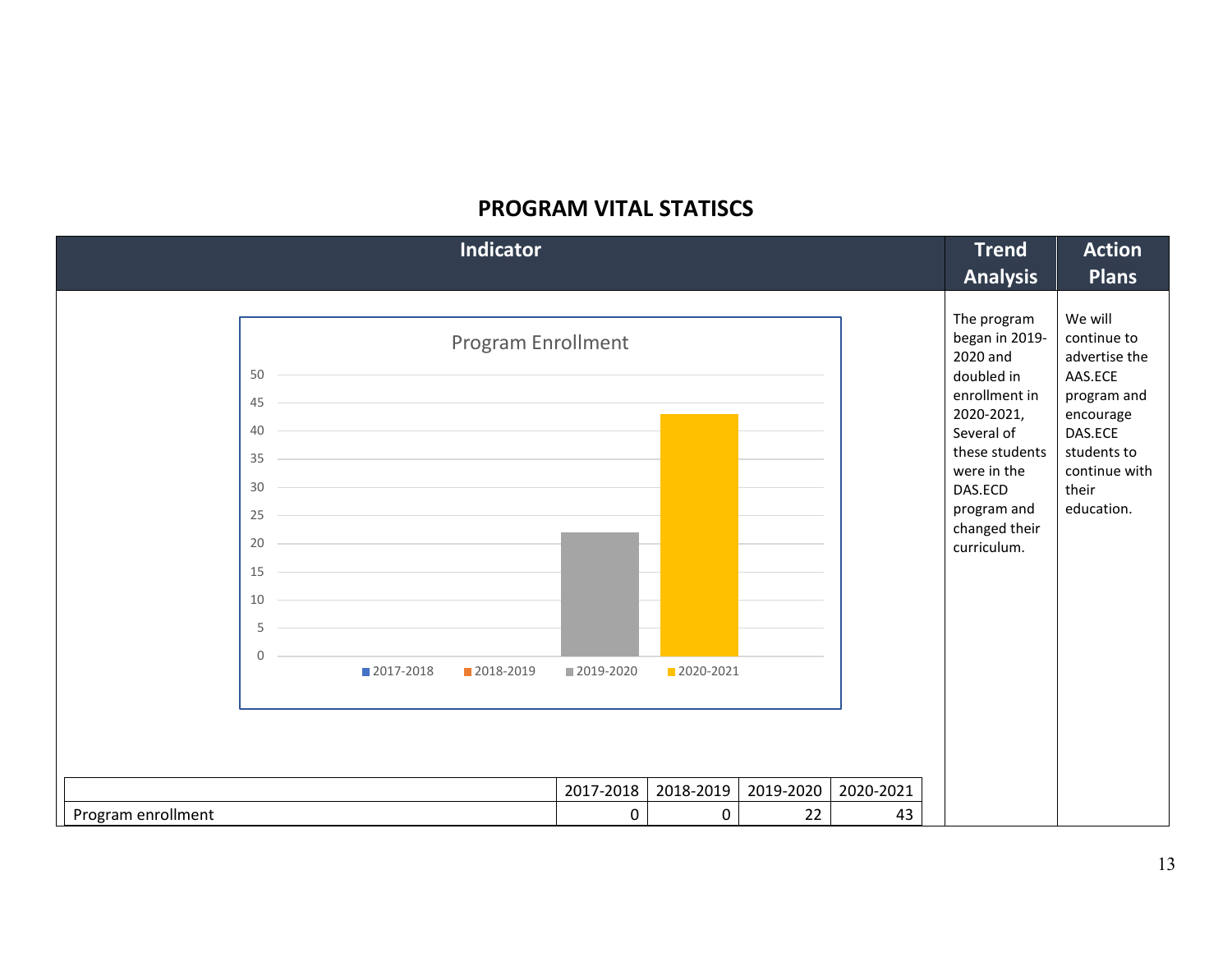#### **PROGRAM VITAL STATISCS**

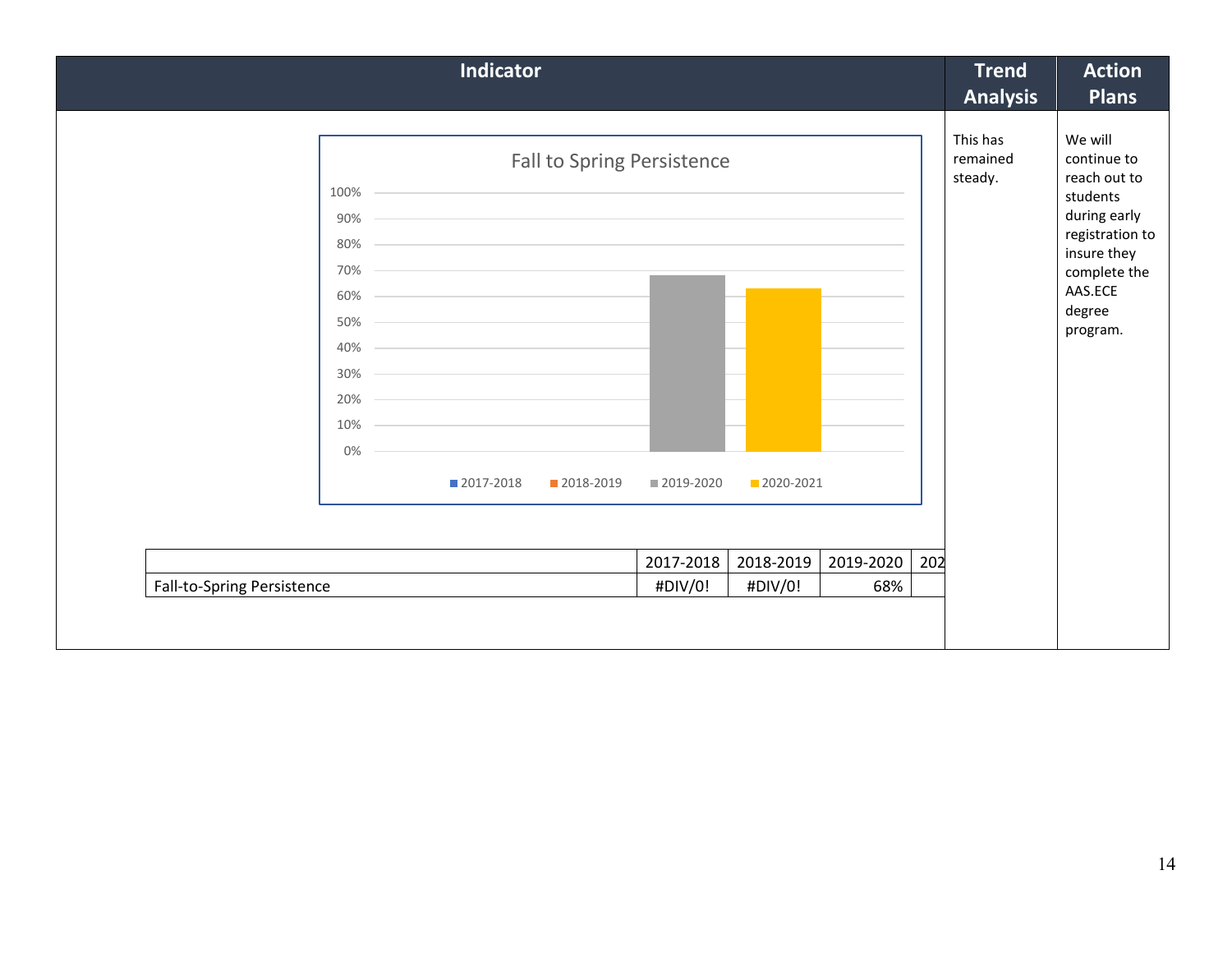| <b>Indicator</b>                                                                                                                                                                                                                                                                                   |                                           |             |           | <b>Trend</b><br><b>Analysis</b> | <b>Action</b><br><b>Plans</b>                                                                                                                         |
|----------------------------------------------------------------------------------------------------------------------------------------------------------------------------------------------------------------------------------------------------------------------------------------------------|-------------------------------------------|-------------|-----------|---------------------------------|-------------------------------------------------------------------------------------------------------------------------------------------------------|
| $100\%$ -<br>$90\%$<br>and the control of the control of the control of the control of the control of the control of the control of the<br>$80\% -$<br>$70\%$<br>$60\%$ –<br>$50\%$ $\overline{\phantom{}}$<br>$40\%$ $-$<br>$30\%$ $\qquad$<br>$20\%$<br>$10\%$<br>0%<br>■ 2017-2018<br>2018-2019 | Fall to Spring Persistence<br>■ 2019-2020 | ■ 2020-2021 |           | This has<br>remained<br>steady. | We will<br>continue to<br>reach out to<br>students<br>during early<br>registration to<br>insure they<br>complete the<br>AAS.ECE<br>degree<br>program. |
|                                                                                                                                                                                                                                                                                                    | 2017-2018                                 | 2018-2019   | 2019-2020 | 202                             |                                                                                                                                                       |
| Fall-to-Spring Persistence                                                                                                                                                                                                                                                                         | #DIV/0!                                   | #DIV/0!     | 68%       |                                 |                                                                                                                                                       |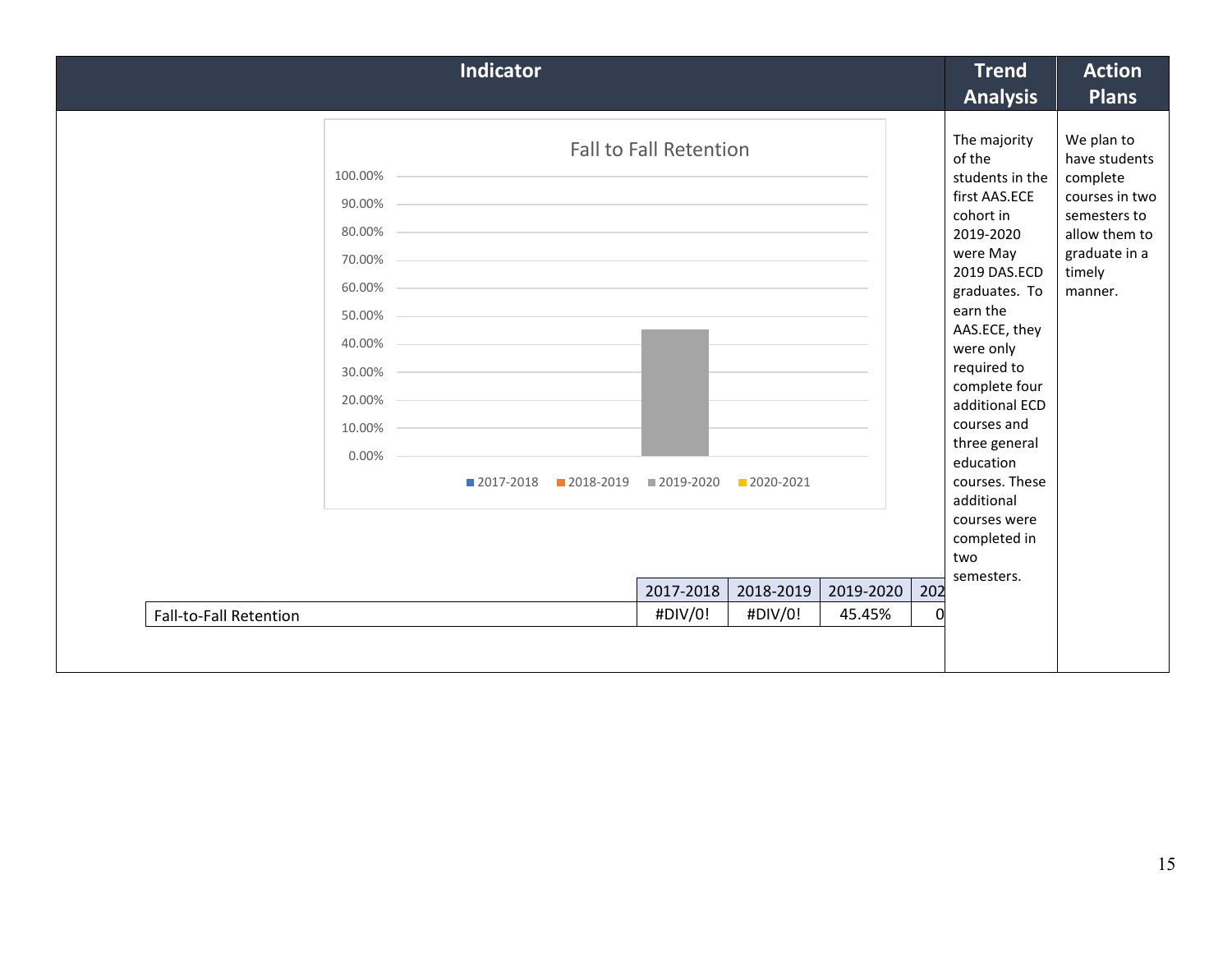| <b>Indicator</b>                                                                                                                                                                              |                                                                      |                                   |                     |                 | <b>Trend</b><br><b>Analysis</b>                                                                                                                                                                                                                                                                                                                                 | <b>Action</b><br><b>Plans</b>                                                                                                    |
|-----------------------------------------------------------------------------------------------------------------------------------------------------------------------------------------------|----------------------------------------------------------------------|-----------------------------------|---------------------|-----------------|-----------------------------------------------------------------------------------------------------------------------------------------------------------------------------------------------------------------------------------------------------------------------------------------------------------------------------------------------------------------|----------------------------------------------------------------------------------------------------------------------------------|
| $100.00\%$ –<br>90.00%<br>80.00%<br>70.00% -<br>60.00%<br>$50.00\%$ -<br>$40.00\%$ –<br>30.00%<br>20.00%<br>$10.00\%$ -<br>0.00%<br>2017-2018<br>■ 2018-2019<br><b>Fall-to-Fall Retention</b> | <b>Fall to Fall Retention</b><br>■ 2019-2020<br>2017-2018<br>#DIV/0! | 2020-2021<br>2018-2019<br>#DIV/0! | 2019-2020<br>45.45% | 202<br>$\Omega$ | The majority<br>of the<br>students in the<br>first AAS.ECE<br>cohort in<br>2019-2020<br>were May<br>2019 DAS.ECD<br>graduates. To<br>earn the<br>AAS.ECE, they<br>were only<br>required to<br>complete four<br>additional ECD<br>courses and<br>three general<br>education<br>courses. These<br>additional<br>courses were<br>completed in<br>two<br>semesters. | We plan to<br>have students<br>complete<br>courses in two<br>semesters to<br>allow them to<br>graduate in a<br>timely<br>manner. |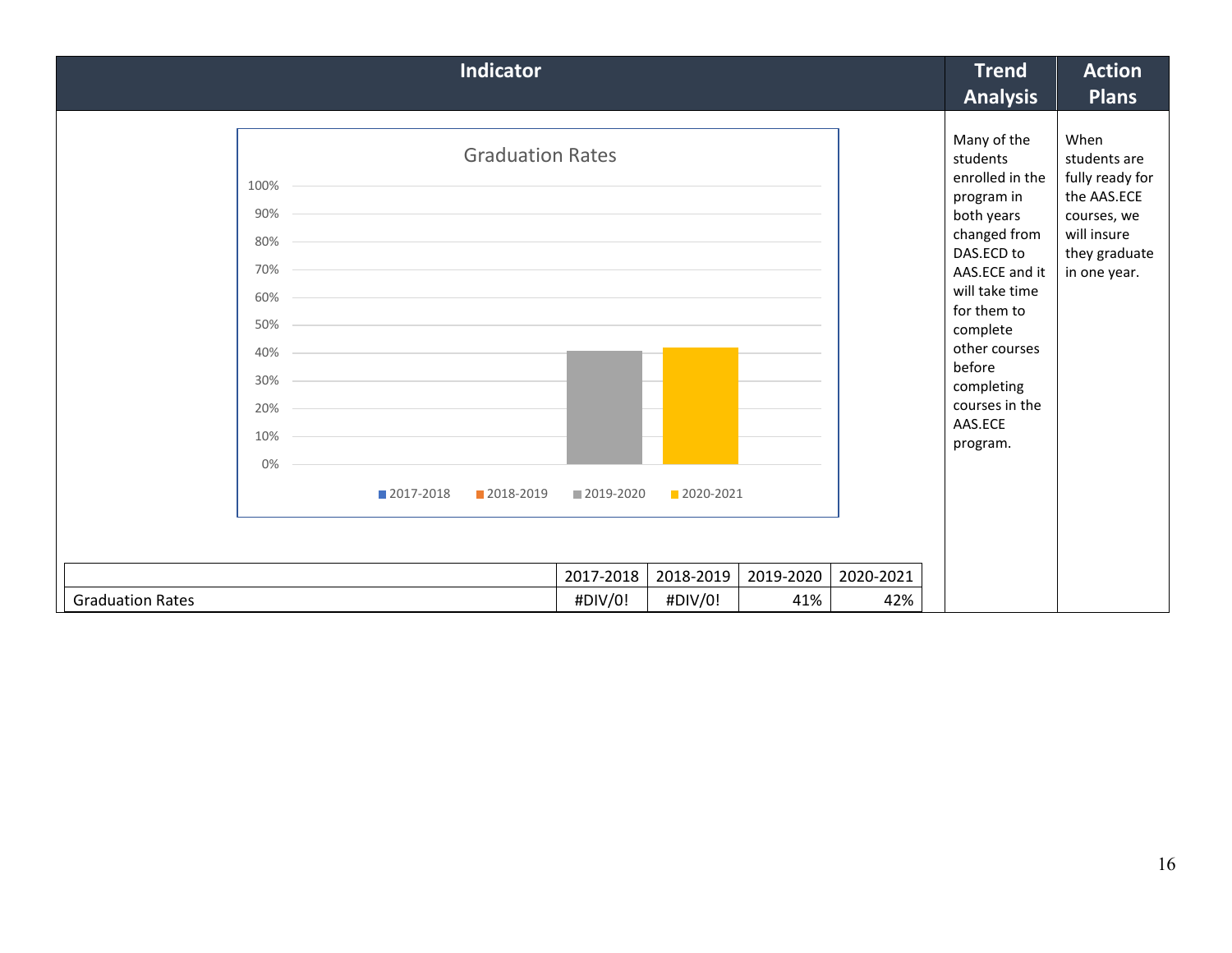|                                                                                                                                             |  |  | <b>Indicator</b> |           |           |           |                   | <b>Trend</b><br><b>Analysis</b>                                                                                                                                                                                                  | <b>Action</b><br><b>Plans</b>                                                                                         |
|---------------------------------------------------------------------------------------------------------------------------------------------|--|--|------------------|-----------|-----------|-----------|-------------------|----------------------------------------------------------------------------------------------------------------------------------------------------------------------------------------------------------------------------------|-----------------------------------------------------------------------------------------------------------------------|
| <b>Graduation Rates</b><br>100%<br>90%<br>80%<br>70%<br>60%<br>50%<br>40%<br>30%<br>20%<br>10%<br>0%<br>2018-2019<br>2019-2020<br>2017-2018 |  |  |                  |           | 2020-2021 |           | before<br>AAS.ECE | Many of the<br>students<br>enrolled in the<br>program in<br>both years<br>changed from<br>DAS.ECD to<br>AAS.ECE and it<br>will take time<br>for them to<br>complete<br>other courses<br>completing<br>courses in the<br>program. | When<br>students are<br>fully ready for<br>the AAS.ECE<br>courses, we<br>will insure<br>they graduate<br>in one year. |
|                                                                                                                                             |  |  |                  |           |           |           |                   |                                                                                                                                                                                                                                  |                                                                                                                       |
|                                                                                                                                             |  |  |                  | 2017-2018 | 2018-2019 | 2019-2020 | 2020-2021         |                                                                                                                                                                                                                                  |                                                                                                                       |
| <b>Graduation Rates</b>                                                                                                                     |  |  |                  | #DIV/0!   | #DIV/0!   | 41%       | 42%               |                                                                                                                                                                                                                                  |                                                                                                                       |